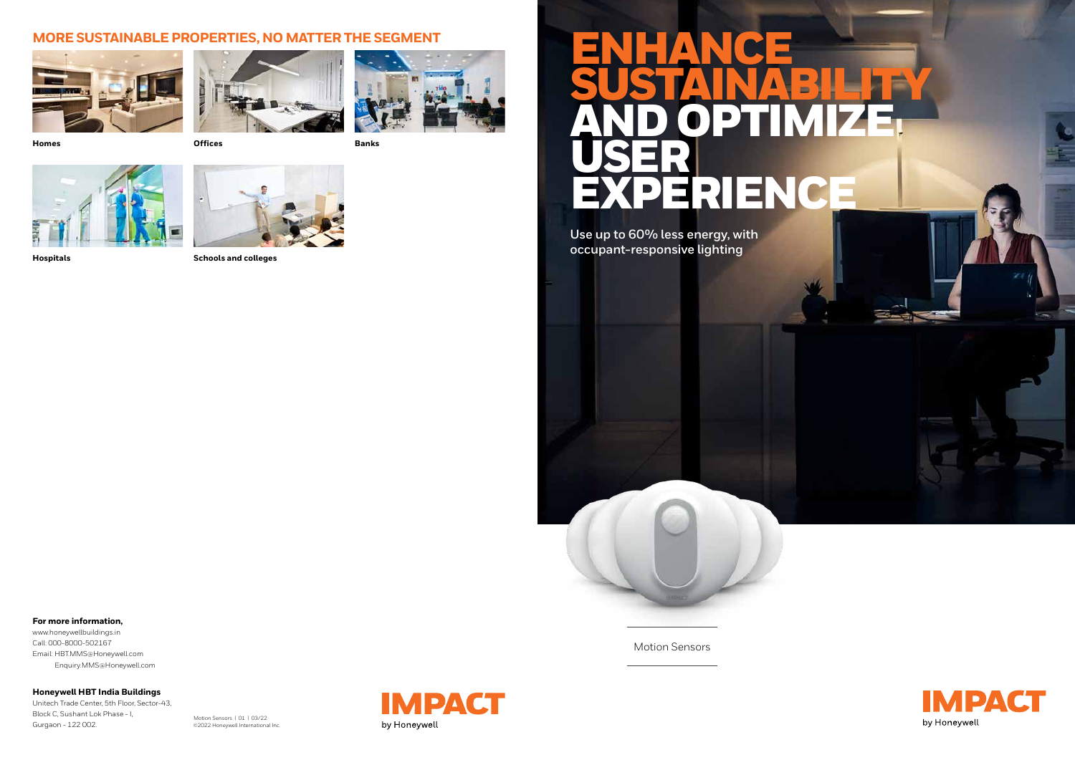**For more information,**

www.honeywellbuildings.in Call: 000-8000-502167 Email: HBT.MMS@Honeywell.com Enquiry.MMS@Honeywell.com

**Honeywell HBT India Buildings** Unitech Trade Center, 5th Floor, Sector-43,

Block C, Sushant Lok Phase - I, Gurgaon - 122 002.

Motion Sensors | 01 | 03/22 ©2022 Honeywell International Inc.





# ENHANCE USER



#### Motion Sensors



### **MORE SUSTAINABLE PROPERTIES, NO MATTER THE SEGMENT**







**Homes Offices Banks**





**Hospitals Schools and colleges**